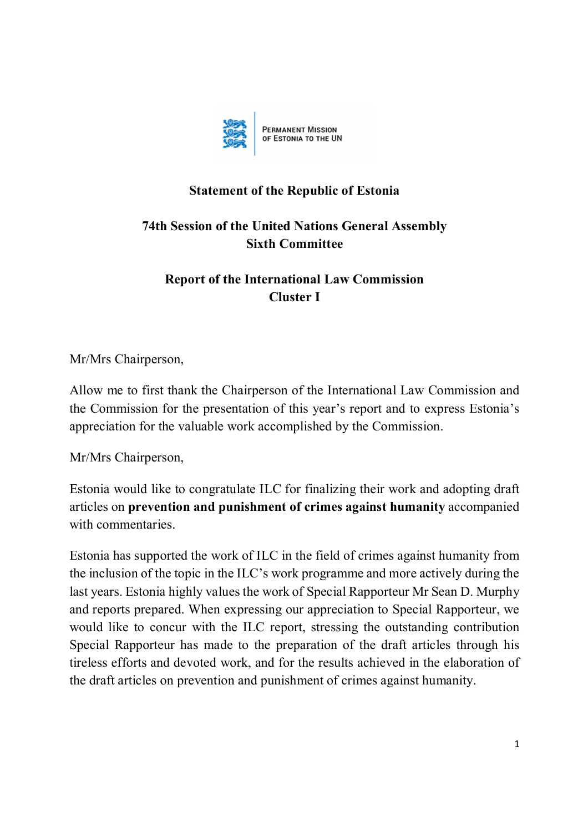

## **Statement of the Republic of Estonia**

## **74th Session of the United Nations General Assembly Sixth Committee**

## **Report of the International Law Commission Cluster I**

Mr/Mrs Chairperson,

Allow me to first thank the Chairperson of the International Law Commission and the Commission for the presentation of this year's report and to express Estonia's appreciation for the valuable work accomplished by the Commission.

Mr/Mrs Chairperson,

Estonia would like to congratulate ILC for finalizing their work and adopting draft articles on **prevention and punishment of crimes against humanity** accompanied with commentaries.

Estonia has supported the work of ILC in the field of crimes against humanity from the inclusion of the topic in the ILC's work programme and more actively during the last years. Estonia highly values the work of Special Rapporteur Mr Sean D. Murphy and reports prepared. When expressing our appreciation to Special Rapporteur, we would like to concur with the ILC report, stressing the outstanding contribution Special Rapporteur has made to the preparation of the draft articles through his tireless efforts and devoted work, and for the results achieved in the elaboration of the draft articles on prevention and punishment of crimes against humanity.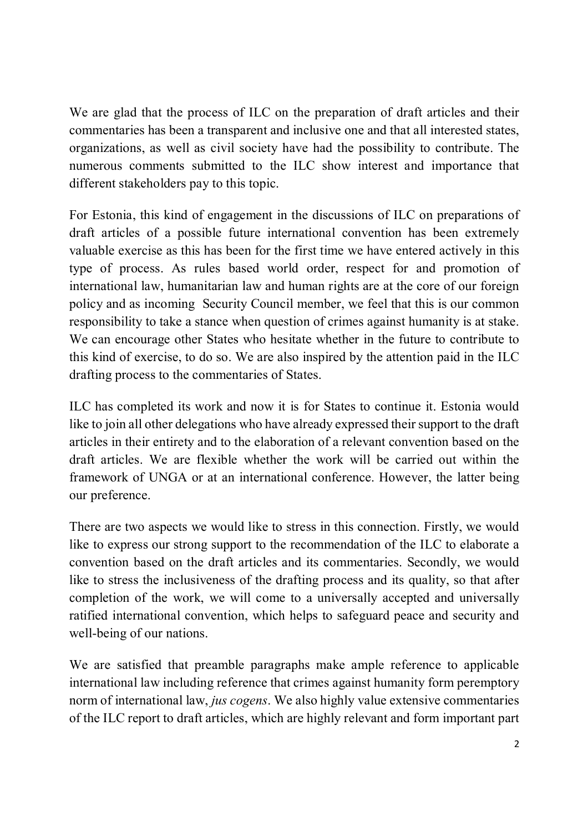We are glad that the process of ILC on the preparation of draft articles and their commentaries has been a transparent and inclusive one and that all interested states, organizations, as well as civil society have had the possibility to contribute. The numerous comments submitted to the ILC show interest and importance that different stakeholders pay to this topic.

For Estonia, this kind of engagement in the discussions of ILC on preparations of draft articles of a possible future international convention has been extremely valuable exercise as this has been for the first time we have entered actively in this type of process. As rules based world order, respect for and promotion of international law, humanitarian law and human rights are at the core of our foreign policy and as incoming Security Council member, we feel that this is our common responsibility to take a stance when question of crimes against humanity is at stake. We can encourage other States who hesitate whether in the future to contribute to this kind of exercise, to do so. We are also inspired by the attention paid in the ILC drafting process to the commentaries of States.

ILC has completed its work and now it is for States to continue it. Estonia would like to join all other delegations who have already expressed their support to the draft articles in their entirety and to the elaboration of a relevant convention based on the draft articles. We are flexible whether the work will be carried out within the framework of UNGA or at an international conference. However, the latter being our preference.

There are two aspects we would like to stress in this connection. Firstly, we would like to express our strong support to the recommendation of the ILC to elaborate a convention based on the draft articles and its commentaries. Secondly, we would like to stress the inclusiveness of the drafting process and its quality, so that after completion of the work, we will come to a universally accepted and universally ratified international convention, which helps to safeguard peace and security and well-being of our nations.

We are satisfied that preamble paragraphs make ample reference to applicable international law including reference that crimes against humanity form peremptory norm of international law, *jus cogens*. We also highly value extensive commentaries of the ILC report to draft articles, which are highly relevant and form important part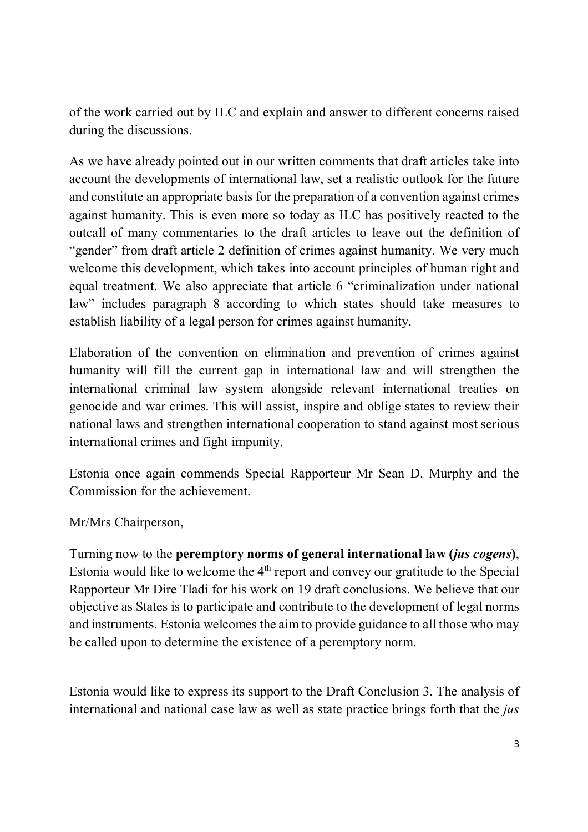of the work carried out by ILC and explain and answer to different concerns raised during the discussions.

As we have already pointed out in our written comments that draft articles take into account the developments of international law, set a realistic outlook for the future and constitute an appropriate basis for the preparation of a convention against crimes against humanity. This is even more so today as ILC has positively reacted to the outcall of many commentaries to the draft articles to leave out the definition of "gender" from draft article 2 definition of crimes against humanity. We very much welcome this development, which takes into account principles of human right and equal treatment. We also appreciate that article 6 "criminalization under national law" includes paragraph 8 according to which states should take measures to establish liability of a legal person for crimes against humanity.

Elaboration of the convention on elimination and prevention of crimes against humanity will fill the current gap in international law and will strengthen the international criminal law system alongside relevant international treaties on genocide and war crimes. This will assist, inspire and oblige states to review their national laws and strengthen international cooperation to stand against most serious international crimes and fight impunity.

Estonia once again commends Special Rapporteur Mr Sean D. Murphy and the Commission for the achievement.

Mr/Mrs Chairperson,

Turning now to the **peremptory norms of general international law (***jus cogens***)**, Estonia would like to welcome the  $4<sup>th</sup>$  report and convey our gratitude to the Special Rapporteur Mr Dire Tladi for his work on 19 draft conclusions. We believe that our objective as States is to participate and contribute to the development of legal norms and instruments. Estonia welcomes the aim to provide guidance to all those who may be called upon to determine the existence of a peremptory norm.

Estonia would like to express its support to the Draft Conclusion 3. The analysis of international and national case law as well as state practice brings forth that the *jus*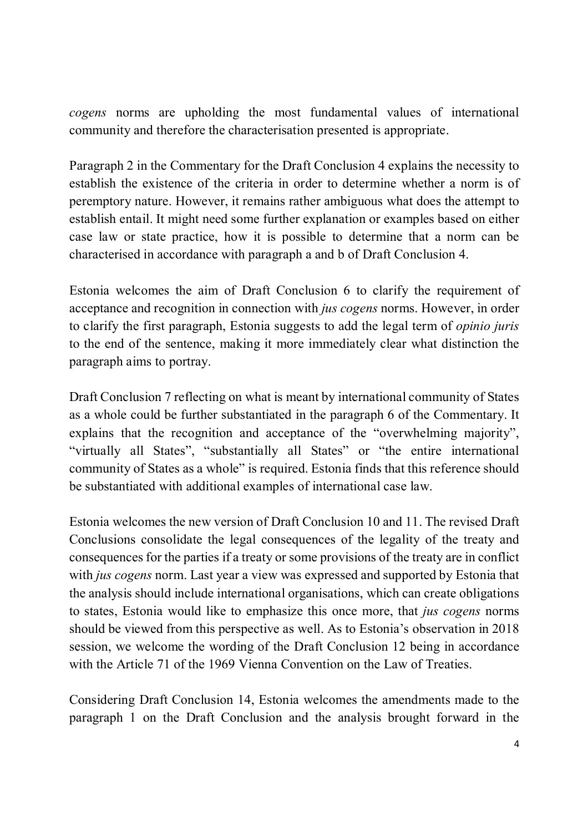*cogens* norms are upholding the most fundamental values of international community and therefore the characterisation presented is appropriate.

Paragraph 2 in the Commentary for the Draft Conclusion 4 explains the necessity to establish the existence of the criteria in order to determine whether a norm is of peremptory nature. However, it remains rather ambiguous what does the attempt to establish entail. It might need some further explanation or examples based on either case law or state practice, how it is possible to determine that a norm can be characterised in accordance with paragraph a and b of Draft Conclusion 4.

Estonia welcomes the aim of Draft Conclusion 6 to clarify the requirement of acceptance and recognition in connection with *jus cogens* norms. However, in order to clarify the first paragraph, Estonia suggests to add the legal term of *opinio juris* to the end of the sentence, making it more immediately clear what distinction the paragraph aims to portray.

Draft Conclusion 7 reflecting on what is meant by international community of States as a whole could be further substantiated in the paragraph 6 of the Commentary. It explains that the recognition and acceptance of the "overwhelming majority", "virtually all States", "substantially all States" or "the entire international community of States as a whole" is required. Estonia finds that this reference should be substantiated with additional examples of international case law.

Estonia welcomes the new version of Draft Conclusion 10 and 11. The revised Draft Conclusions consolidate the legal consequences of the legality of the treaty and consequences for the parties if a treaty or some provisions of the treaty are in conflict with *jus cogens* norm. Last year a view was expressed and supported by Estonia that the analysis should include international organisations, which can create obligations to states, Estonia would like to emphasize this once more, that *jus cogens* norms should be viewed from this perspective as well. As to Estonia's observation in 2018 session, we welcome the wording of the Draft Conclusion 12 being in accordance with the Article 71 of the 1969 Vienna Convention on the Law of Treaties.

Considering Draft Conclusion 14, Estonia welcomes the amendments made to the paragraph 1 on the Draft Conclusion and the analysis brought forward in the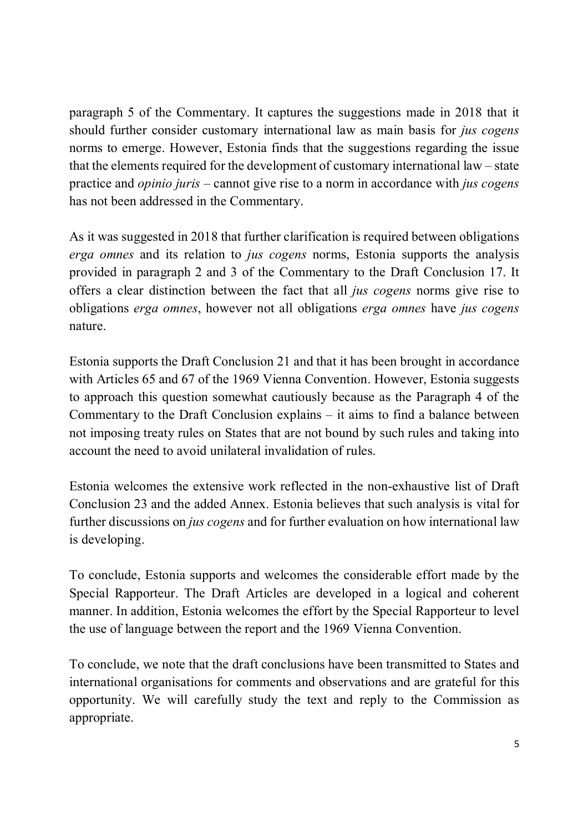paragraph 5 of the Commentary. It captures the suggestions made in 2018 that it should further consider customary international law as main basis for *jus cogens* norms to emerge. However, Estonia finds that the suggestions regarding the issue that the elements required for the development of customary international law – state practice and *opinio juris* – cannot give rise to a norm in accordance with *jus cogens* has not been addressed in the Commentary.

As it was suggested in 2018 that further clarification is required between obligations *erga omnes* and its relation to *jus cogens* norms, Estonia supports the analysis provided in paragraph 2 and 3 of the Commentary to the Draft Conclusion 17. It offers a clear distinction between the fact that all *jus cogens* norms give rise to obligations *erga omnes*, however not all obligations *erga omnes* have *jus cogens* nature.

Estonia supports the Draft Conclusion 21 and that it has been brought in accordance with Articles 65 and 67 of the 1969 Vienna Convention. However, Estonia suggests to approach this question somewhat cautiously because as the Paragraph 4 of the Commentary to the Draft Conclusion explains – it aims to find a balance between not imposing treaty rules on States that are not bound by such rules and taking into account the need to avoid unilateral invalidation of rules.

Estonia welcomes the extensive work reflected in the non-exhaustive list of Draft Conclusion 23 and the added Annex. Estonia believes that such analysis is vital for further discussions on *jus cogens* and for further evaluation on how international law is developing.

To conclude, Estonia supports and welcomes the considerable effort made by the Special Rapporteur. The Draft Articles are developed in a logical and coherent manner. In addition, Estonia welcomes the effort by the Special Rapporteur to level the use of language between the report and the 1969 Vienna Convention.

To conclude, we note that the draft conclusions have been transmitted to States and international organisations for comments and observations and are grateful for this opportunity. We will carefully study the text and reply to the Commission as appropriate.